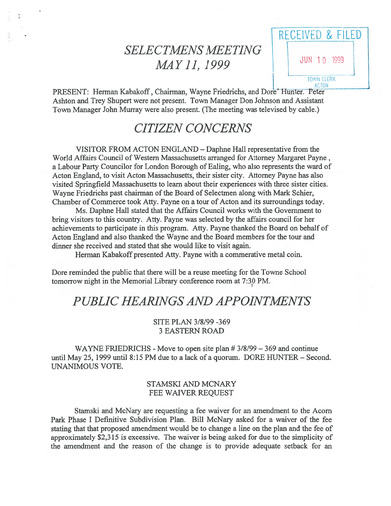# **SELECTMENS MEETING** MAY 11, 1999

RECEIVED & FILED JUN 10 1999 **TOWN CLERK ACTON** 

PRESENT: Herman Kabakoff, Chairman, Wayne Friedrichs, and Dore' Hunter. Peter Ashton and Trey Shupert were not present. Town Manager Don Johnson and Assistant Town Manager John Murray were also present. (The meeting was televised by cable.)

## **CITIZEN CONCERNS**

VISITOR FROM ACTON ENGLAND – Daphne Hall representative from the World Affairs Council of Western Massachusetts arranged for Attorney Margaret Payne, a Labour Party Councilor for London Borough of Ealing, who also represents the ward of Acton England, to visit Acton Massachusetts, their sister city. Attorney Payne has also visited Springfield Massachusetts to learn about their experiences with three sister cities. Wayne Friedrichs past chairman of the Board of Selectmen along with Mark Schier, Chamber of Commerce took Atty. Payne on a tour of Acton and its surroundings today.

Ms. Daphne Hall stated that the Affairs Council works with the Government to bring visitors to this country. Atty. Payne was selected by the affairs council for her achievements to participate in this program. Atty. Payne thanked the Board on behalf of Acton England and also thanked the Wayne and the Board members for the tour and dinner she received and stated that she would like to visit again.

Herman Kabakoff presented Atty. Payne with a commerative metal coin.

Dore reminded the public that there will be a reuse meeting for the Towne School tomorrow night in the Memorial Library conference room at 7:30 PM.

## PUBLIC HEARINGS AND APPOINTMENTS

### SITE PLAN 3/8/99 -369 **3 EASTERN ROAD**

WAYNE FRIEDRICHS - Move to open site plan  $# 3/8/99 - 369$  and continue until May 25, 1999 until 8:15 PM due to a lack of a quorum. DORE HUNTER – Second. **UNANIMOUS VOTE.** 

### **STAMSKI AND MCNARY** FEE WAIVER REQUEST

Stamski and McNary are requesting a fee waiver for an amendment to the Acorn Park Phase I Definitive Subdivision Plan. Bill McNary asked for a waiver of the fee stating that that proposed amendment would be to change a line on the plan and the fee of approximately \$2,315 is excessive. The waiver is being asked for due to the simplicity of the amendment and the reason of the change is to provide adequate setback for an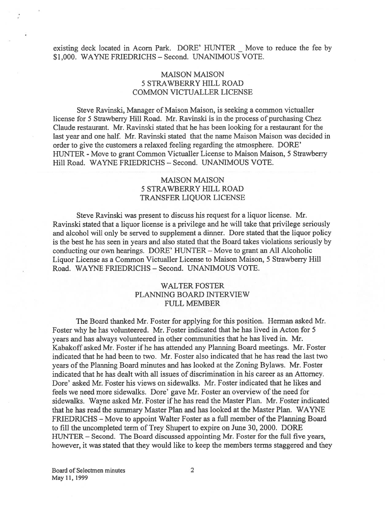existing deck located in Acorn Park. DORE' HUNTER — Move to reduce the fee by \$1,000. WAYNE FRIEDRICHS - Second. UNANIMOUS VOTE.

## **MAISON MAISON** 5 STRAWBERRY HILL ROAD COMMON VICTUALLER LICENSE

Steve Ravinski, Manager of Maison Maison, is seeking <sup>a</sup> common victualler license for 5 Strawberry Hill Road. Mr. Ravinski is in the process of purchasing Chez Claude restaurant. Mr. Ravinski stated that he has been looking for <sup>a</sup> restaurant for the last year and one half. Mr. Ravinski stated that the name Maison Maison was decided in order to give the customers <sup>a</sup> relaxed feeling regarding the atmosphere. DORE' HUNTER - Move to grant Common Victualler License to Maison Maison, 5 Strawberry Hill Road. WAYNE FRIEDRICHS - Second. UNANIMOUS VOTE.

### **MAISON MAISON** 5 STRAWBERRY HILL ROAD TRANSFER LIQUOR LICENSE

Steve Ravinski was presen<sup>t</sup> to discuss his reques<sup>t</sup> for <sup>a</sup> liquor license. Mr. Ravinski stated that <sup>a</sup> liquor license is <sup>a</sup> privilege and he will take that privilege seriously and alcohol will only be served to supplement <sup>a</sup> dinner. Dore stated that the liquor policy is the best he has seen in years and also stated that the Board takes violations seriously by conducting our own hearings. DORE' HUNTER - Move to grant an All Alcoholic Liquor License as <sup>a</sup> Common Victualler License to Maison Maison, 5 Strawberry Hill Road. WAYNE FRIEDRICHS - Second. UNANIMOUS VOTE.

## WALTER FOSTER PLANNING BOARD INTERVIEW FULL MEMBER

The Board thanked Mr. Foster for applying for this position. Herman asked Mr. Foster why he has volunteered. Mr. Foster indicated that he has lived in Acton for 5 years and has always volunteered in other communities that he has lived in. Mr. Kabakoff asked Mr. Foster if he has attended any Planning Board meetings. Mr. Foster indicated that he had been to two. Mr. Foster also indicated that he has read the last two years of the Planning Board minutes and has looked at the Zoning Bylaws. Mr. Foster indicated that he has dealt with all issues of discrimination in his career as an Attorney. Dore' asked Mr. Foster his views on sidewalks. Mr. Foster indicated that he likes and feels we need more sidewalks. Dore' gave Mr. Foster an overview of the need for sidewalks. Wayne asked Mr. Foster if he has read the Master Plan. Mr. Foster indicated that he has read the summary Master Plan and has looked at the Master Plan. WAYNE FRIEDRICHS – Move to appoint Walter Foster as a full member of the Planning Board to fill the uncompleted term of Trey Shupert to expire on June 30, 2000. DORE HUNTER — Second. The Board discussed appointing Mr. Foster for the full five years, however, it was stated that they would like to keep the members terms staggered and they

Board of Selectmen minutes 2 May 11, 1999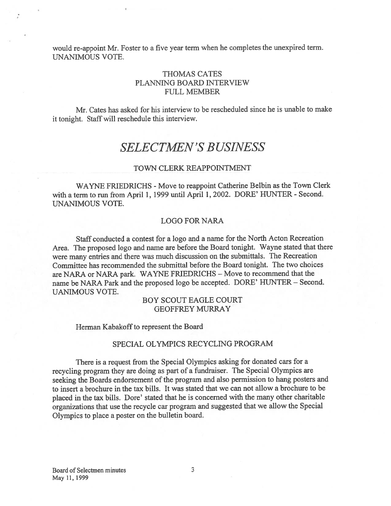would re-appoint Mr. Foster to <sup>a</sup> five year term when he completes the unexpired term. UNANIMOUS VOTE.

## THOMAS CATES PLANNING BOARD INTERVIEW FULL MEMBER

Mr. Cates has asked for his interview to be rescheduled since he is unable to make it tonight. Staff will reschedule this interview.

## SELECTMEN'S BUSINESS

#### TOWN CLERK REAPPOINTMENT

WAYNE FRIEDRICHS - Move to reappoint Catherine Belbin as the Town Clerk with <sup>a</sup> term to run from April 1, 1999 until April 1, 2002. DORE' HUNTER - Second. UNANIMOUS VOTE.

#### LOGO FOR NARA

Staff conducted <sup>a</sup> contest for <sup>a</sup> logo and <sup>a</sup> name for the North Acton Recreation Area. The propose<sup>d</sup> logo and name are before the Board tonight. Wayne stated that there were many entries and there was much discussion on the submittals. The Recreation Committee has recommended the submittal before the Board tonight. The two choices are NARA or NARA park. WAYNE FRIEDRICHS — Move to recommend that the name be NARA Park and the proposed logo be accepted. DORE' HUNTER — Second. UANIMOUS VOTE.

### BOY SCOUT EAGLE COURT GEOFFREY MURRAY

Herman Kabakoff to represent the Board

#### SPECIAL OLYMPICS RECYCLING PROGRAM

There is <sup>a</sup> reques<sup>t</sup> from the Special Olympics asking for donated cars for <sup>a</sup> recycling program they are doing as par<sup>t</sup> of <sup>a</sup> fundraiser. The Special Olympics are seeking the Boards endorsement of the program and also permission to hang posters and to insert <sup>a</sup> brochure in the tax bills. It was stated that we can not allow <sup>a</sup> brochure to be <sup>p</sup>laced in the tax bills. Dore' stated that he is concerned with the many other charitable organizations that use the recycle car program and suggested that we allow the Special Olympics to <sup>p</sup>lace <sup>a</sup> poster on the bulletin board.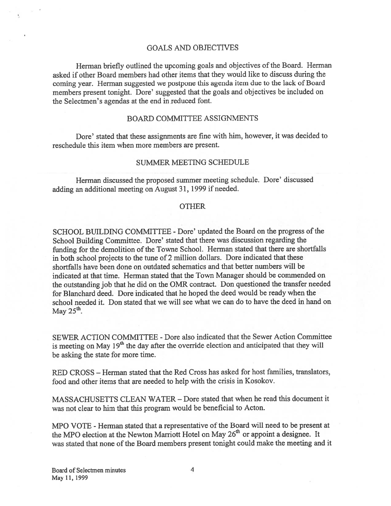#### GOALS AND OBJECTIVES

Herman briefly outlined the upcoming goals and objectives of the Board. Herman asked if other Board members had other items that they would like to discuss during the coming year. Herman suggested we postpone this agenda item due to the lack of Board members presen<sup>t</sup> tonight. Dore' suggested that the goals and objectives be included on the Selectmen's agendas at the end in reduced font.

#### BOARD COMMITTEE ASSIGNMENTS

Dore' stated that these assignments are fine with him, however, it was decided to reschedule this item when more members are present.

#### SUMMER MEETING SCHEDULE

Herman discussed the proposed summer meeting schedule. Dore' discussed adding an additional meeting on August 31, 1999 if needed.

#### OTHER

SCHOOL BUILDING COMMITTEE - Dore' updated the Board on the progress of the School Building Committee. Dore' stated that there was discussion regarding the funding for the demolition of the Towne School. Herman stated that there are shortfalls in both school projects to the tune of <sup>2</sup> million dollars. Dore indicated that these shortfalls have been done on outdated schematics and that better numbers will be indicated at that time. Herman stated that the Town Manager should be commended on the outstanding job that he did on the OMR contract. Don questioned the transfer needed for Blanchard deed. Dore indicated that he hoped the deed would be ready when the school needed it. Don stated that we will see what we can do to have the deed in hand on May 25<sup>th</sup>

SEWER ACTION COMMITTEE -Dore also indicated that the Sewer Action Committee is meeting on May  $19<sup>th</sup>$  the day after the override election and anticipated that they will be asking the state for more time.

RED CROSS — Herman stated that the Red Cross has asked for host families, translators, food and other items that are needed to help with the crisis in Kosokov.

MASSACHUSETTS CLEAN WATER — Dore stated that when he read this document it was not clear to him that this program would be beneficial to Acton.

MPO VOTE - Herman stated that a representative of the Board will need to be present at the MPO election at the Newton Marriott Hotel on May 26<sup>th</sup> or appoint a designee. It was stated that none of the Board members present tonight could make the meeting and it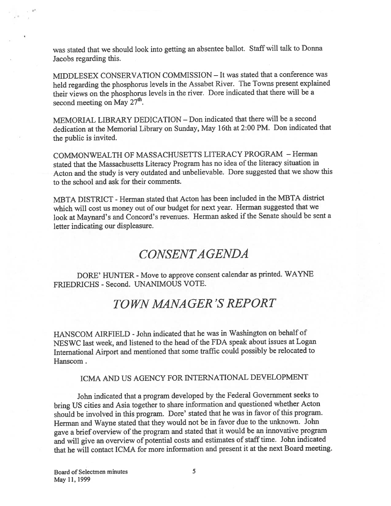was stated that we should look into getting an absentee ballot. Staff will talk to Donna Jacobs regarding this.

MIDDLESEX CONSERVATION COMMISSION — It was stated that <sup>a</sup> conference was held regarding the <sup>p</sup>hosphorus levels in the Assabet River. The Towns presen<sup>t</sup> explained their views on the <sup>p</sup>hosphorus levels in the river. Dore indicated that there will be <sup>a</sup> second meeting on May  $27<sup>th</sup>$ .

MEMORIAL LIBRARY DEDICATION — Don indicated that there will be <sup>a</sup> second dedication at the Memorial Library on Sunday, May 16th at 2:00 PM. Don indicated that the public is invited.

COMMONWEALTH OF MASSACHUSETTS LITERACY PROGRAM -Herman stated that the Massachusetts Literacy Program has no idea of the literacy situation in Acton and the study is very outdated and unbelievable. Dore suggested that we show this to the school and ask for their comments.

MBTA DISTRICT - Herman stated that Acton has been included in the MBTA district which will cost us money out of our budget for next year. Herman suggested that we look at Maynard's and Concord's revenues. Herman asked if the Senate should be sent a letter indicating our displeasure.

## CONSENTAGENDA

DORE' FIUNTER - Move to approve consent calendar as printed. WAYNE FRIEDRICHS - Second. UNANIMOUS VOTE.

## TOWV M4NA GER 'S REPORT

HANSCOM AIRFIELD -John indicated that he was in Washington on behalf of NESWC last week, and listened to the head of the FDA speak about issues at Logan International Airport and mentioned that some traffic could possibly be relocated to Hanscom.

## ICMA AND US AGENCY FOR INTERNATIONAL DEVELOPMENT

John indicated that <sup>a</sup> program developed by the Federal Government seeks to bring US cities and Asia together to share information and questioned whether Acton should be involved in this program. Dore' stated that he was in favor of this program. Herman and Wayne stated that they would not be in favor due to the unknown. John gave a brief overview of the program and stated that it would be an innovative program and will give an overview of potential costs and estimates of staff time. John indicated that he will contact ICMA for more information and presen<sup>t</sup> it at the next Board meeting.